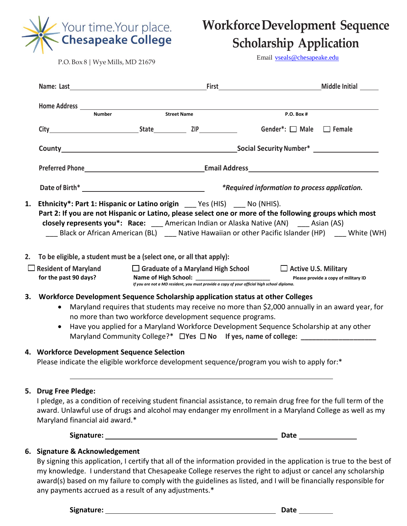

# **WorkforceDevelopment Sequence Scholarship Application**

P.O. Box 8 | Wye Mills, MD 21679

Email [vseals@chesapeake.edu](mailto:vseals@chesapeake.edu)

|    |                                                                                                                                                                                                                                                                                                                                                                                                                                             |  |                                                      |                                                                                                                                                                                                                                                                                            | <b>Middle Initial</b>                |  |
|----|---------------------------------------------------------------------------------------------------------------------------------------------------------------------------------------------------------------------------------------------------------------------------------------------------------------------------------------------------------------------------------------------------------------------------------------------|--|------------------------------------------------------|--------------------------------------------------------------------------------------------------------------------------------------------------------------------------------------------------------------------------------------------------------------------------------------------|--------------------------------------|--|
|    |                                                                                                                                                                                                                                                                                                                                                                                                                                             |  |                                                      |                                                                                                                                                                                                                                                                                            |                                      |  |
|    | <b>Number</b>                                                                                                                                                                                                                                                                                                                                                                                                                               |  | <b>Street Name</b>                                   | <b>P.O. Box #</b>                                                                                                                                                                                                                                                                          |                                      |  |
|    | City State ZIP                                                                                                                                                                                                                                                                                                                                                                                                                              |  |                                                      | Gender*: $\Box$ Male $\Box$ Female                                                                                                                                                                                                                                                         |                                      |  |
|    |                                                                                                                                                                                                                                                                                                                                                                                                                                             |  |                                                      |                                                                                                                                                                                                                                                                                            |                                      |  |
|    |                                                                                                                                                                                                                                                                                                                                                                                                                                             |  |                                                      |                                                                                                                                                                                                                                                                                            |                                      |  |
|    |                                                                                                                                                                                                                                                                                                                                                                                                                                             |  | <i>*Required information to process application.</i> |                                                                                                                                                                                                                                                                                            |                                      |  |
|    | 1. Ethnicity*: Part 1: Hispanic or Latino origin _____ Yes (HIS) _____ No (NHIS).                                                                                                                                                                                                                                                                                                                                                           |  |                                                      | Part 2: If you are not Hispanic or Latino, please select one or more of the following groups which most<br>closely represents you*: Race: American Indian or Alaska Native (AN) Asian (AS)<br>Black or African American (BL) ___ Native Hawaiian or other Pacific Islander (HP) White (WH) |                                      |  |
|    | 2. To be eligible, a student must be a (select one, or all that apply):                                                                                                                                                                                                                                                                                                                                                                     |  |                                                      |                                                                                                                                                                                                                                                                                            |                                      |  |
|    | $\Box$ Resident of Maryland $\Box$ Graduate of a Maryland High School $\Box$ Active U.S. Military<br>for the past 90 days?                                                                                                                                                                                                                                                                                                                  |  |                                                      | If you are not a MD resident, you must provide a copy of your official high school diploma.                                                                                                                                                                                                | Please provide a copy of military ID |  |
| 3. | Workforce Development Sequence Scholarship application status at other Colleges<br>Maryland requires that students may receive no more than \$2,000 annually in an award year, for<br>no more than two workforce development sequence programs.<br>Have you applied for a Maryland Workforce Development Sequence Scholarship at any other<br>$\bullet$<br>Maryland Community College?* □ Yes □ No If yes, name of college: _______________ |  |                                                      |                                                                                                                                                                                                                                                                                            |                                      |  |
|    | 4. Workforce Development Sequence Selection<br>Please indicate the eligible workforce development sequence/program you wish to apply for:*                                                                                                                                                                                                                                                                                                  |  |                                                      |                                                                                                                                                                                                                                                                                            |                                      |  |
|    | 5. Drug Free Pledge:<br>I pledge, as a condition of receiving student financial assistance, to remain drug free for the full term of the<br>award. Unlawful use of drugs and alcohol may endanger my enrollment in a Maryland College as well as my<br>Maryland financial aid award.*                                                                                                                                                       |  |                                                      |                                                                                                                                                                                                                                                                                            |                                      |  |
|    |                                                                                                                                                                                                                                                                                                                                                                                                                                             |  |                                                      |                                                                                                                                                                                                                                                                                            |                                      |  |
|    | 6. Signature & Acknowledgement<br>By signing this application, I certify that all of the information provided in the application is true to the best of<br>my knowledge. I understand that Chesapeake College reserves the right to adjust or cancel any scholarship                                                                                                                                                                        |  |                                                      | award(s) based on my failure to comply with the guidelines as listed, and I will be financially responsible for                                                                                                                                                                            |                                      |  |

any payments accrued as a result of any adjustments.\*

Signature: Date Discourses and Discourses and Discourses and Discourses and Discourses and Discourses and Discours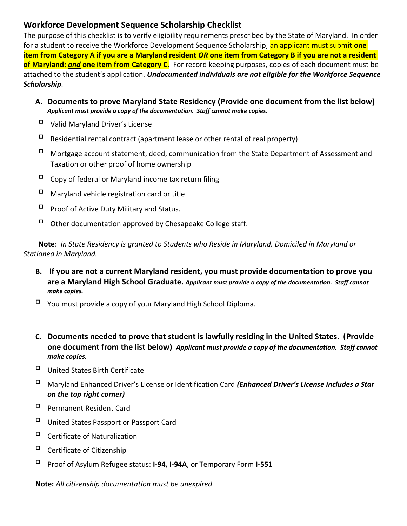#### **Workforce Development Sequence Scholarship Checklist**

The purpose of this checklist is to verify eligibility requirements prescribed by the State of Maryland. In order for a student to receive the Workforce Development Sequence Scholarship, an applicant must submit **one item from Category A if you are a Maryland resident** *OR* **one item from Category B if you are not a resident of Maryland**; *and* **one item from Category C**. For record keeping purposes, copies of each document must be attached to the student's application. *Undocumented individuals are not eligible for the Workforce Sequence Scholarship.*

- **A. Documents to prove Maryland State Residency (Provide one document from the list below)** *Applicant must provide a copy of the documentation. Staff cannot make copies.*
- Valid Maryland Driver's License
- $\Box$  Residential rental contract (apartment lease or other rental of real property)
- $\Box$  Mortgage account statement, deed, communication from the State Department of Assessment and Taxation or other proof of home ownership
- $\Box$  Copy of federal or Maryland income tax return filing
- $\Box$  Maryland vehicle registration card or title
- $\Box$  Proof of Active Duty Military and Status.
- $\Box$  Other documentation approved by Chesapeake College staff.

**Note**: *In State Residency is granted to Students who Reside in Maryland, Domiciled in Maryland or Stationed in Maryland.* 

- **B. If you are not a current Maryland resident, you must provide documentation to prove you are a Maryland High School Graduate.** *Applicant must provide a copy of the documentation. Staff cannot make copies.*
- You must provide a copy of your Maryland High School Diploma.
- **C. Documents needed to prove that student is lawfully residing in the United States. (Provide one document from the list below)** *Applicant must provide a copy of the documentation. Staff cannot make copies.*
- United States Birth Certificate
- Maryland Enhanced Driver's License or Identification Card *(Enhanced Driver's License includes a Star on the top right corner)*
- Permanent Resident Card
- United States Passport or Passport Card
- Certificate of Naturalization
- Certificate of Citizenship
- Proof of Asylum Refugee status: **I-94, I-94A**, or Temporary Form **I-551**

**Note:** *All citizenship documentation must be unexpired*